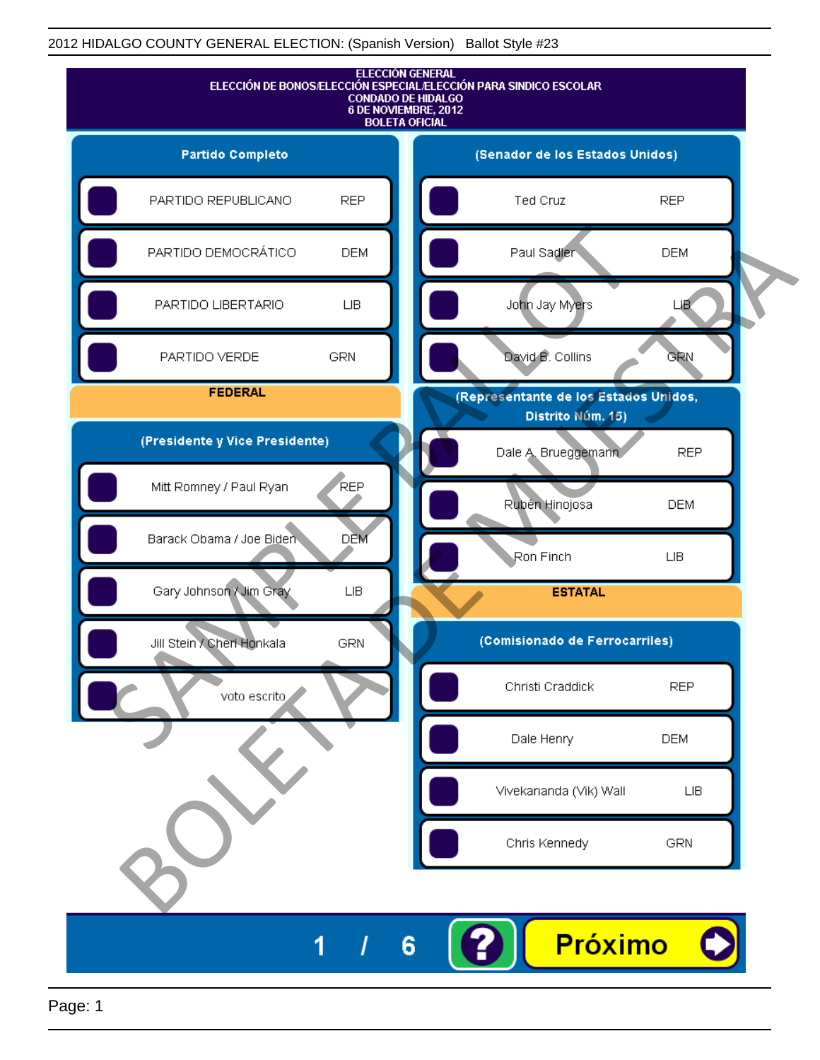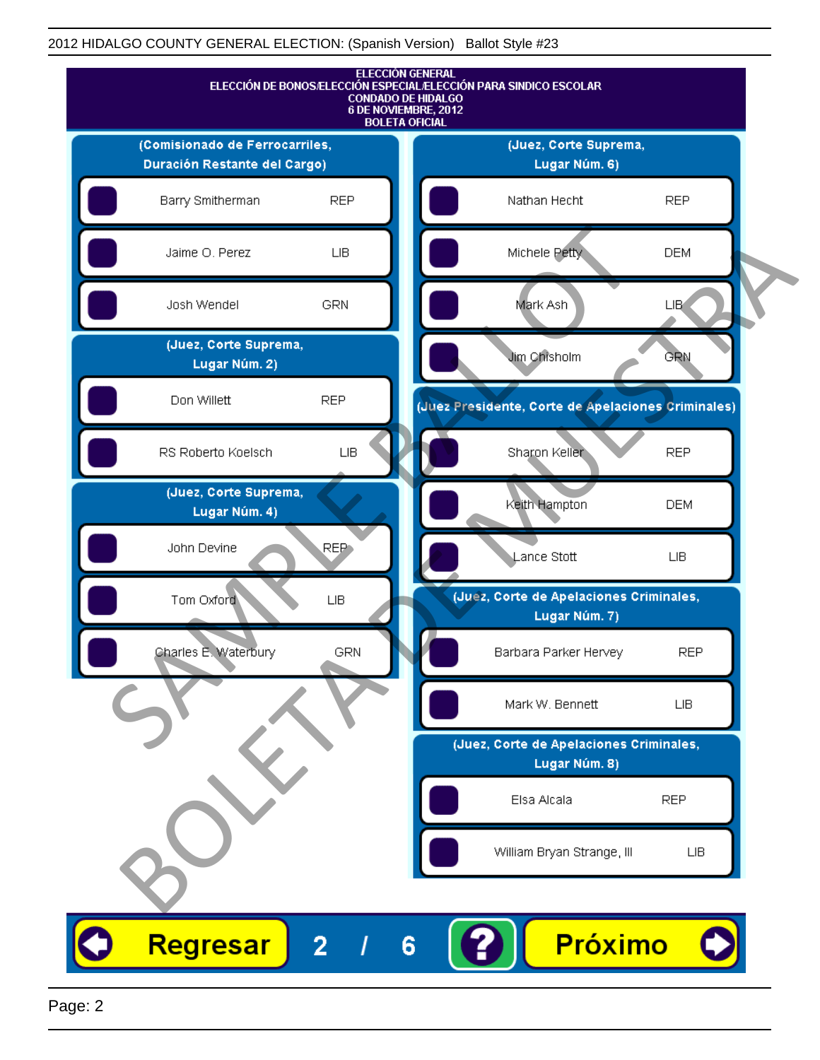

Page: 2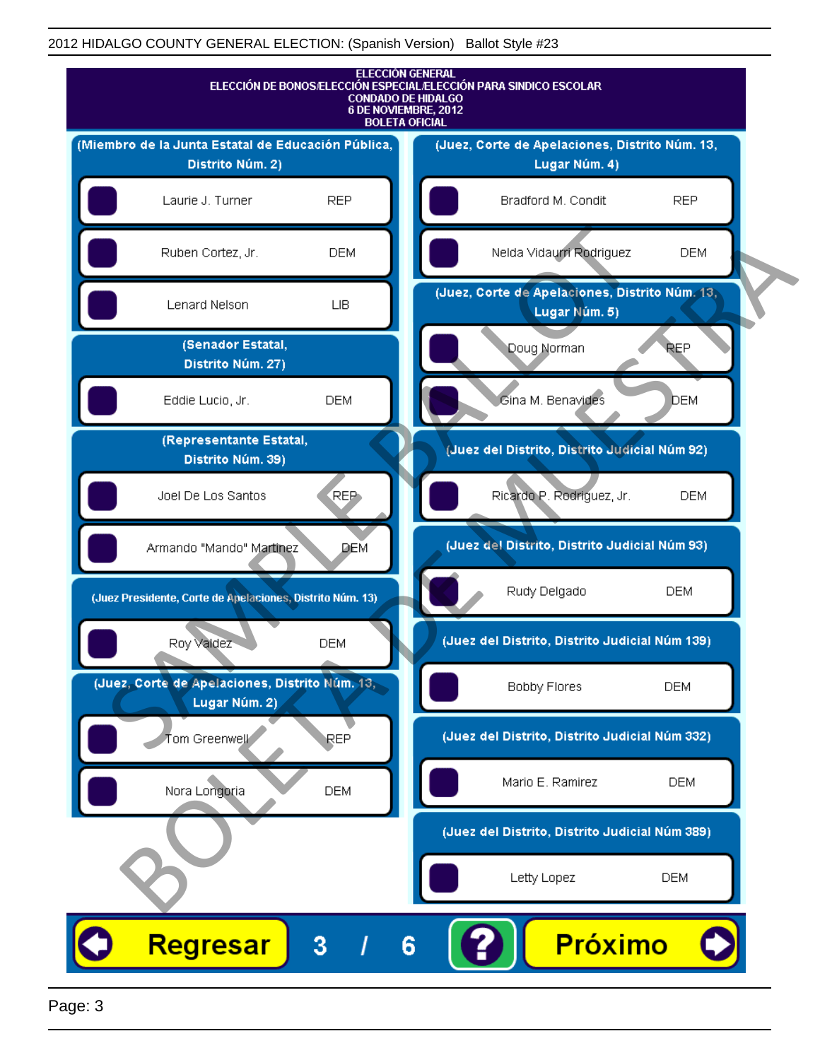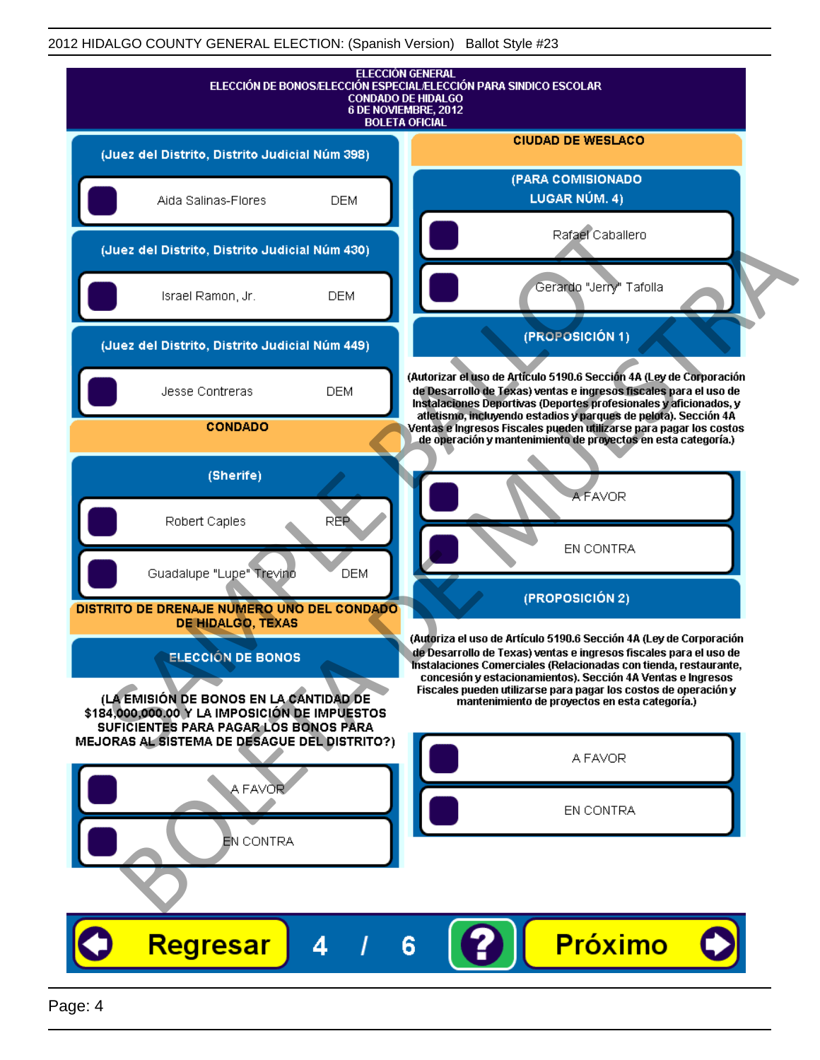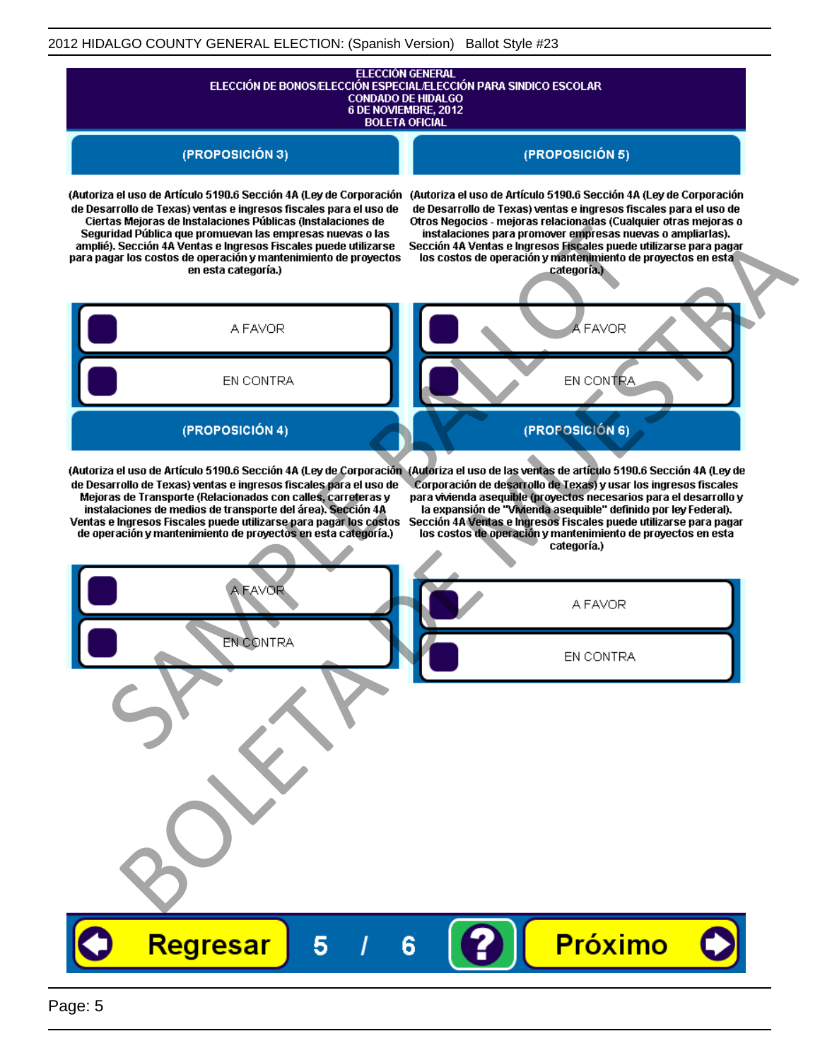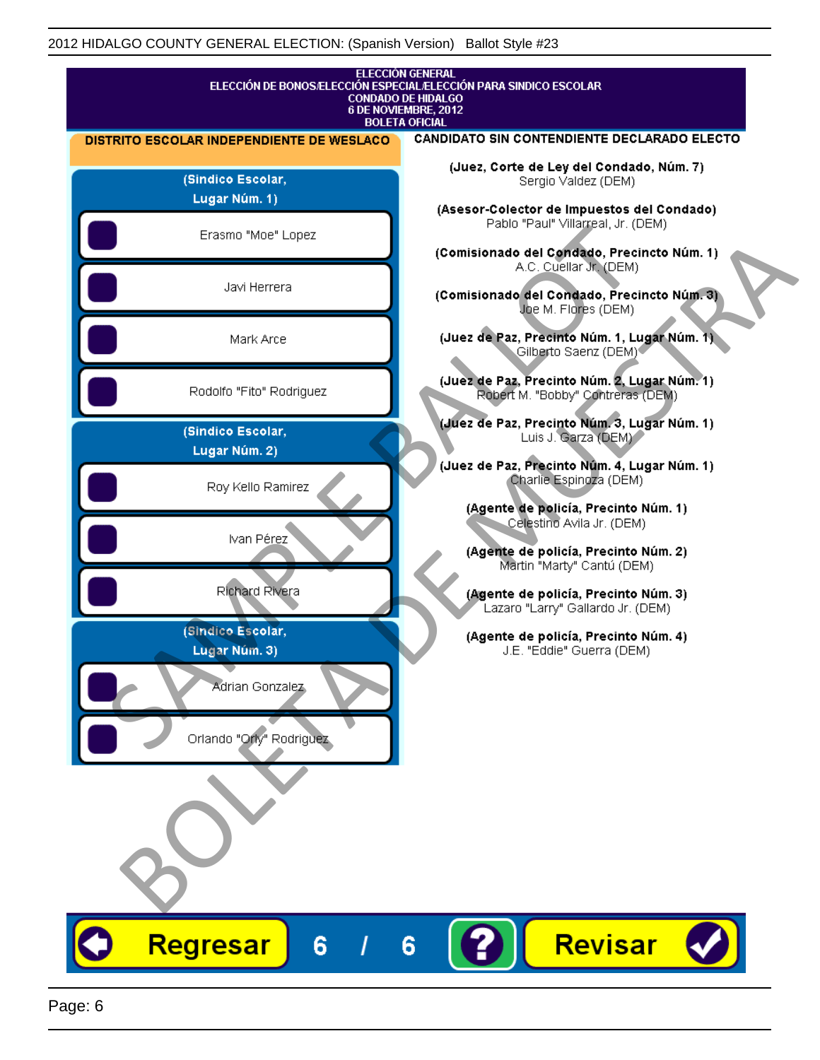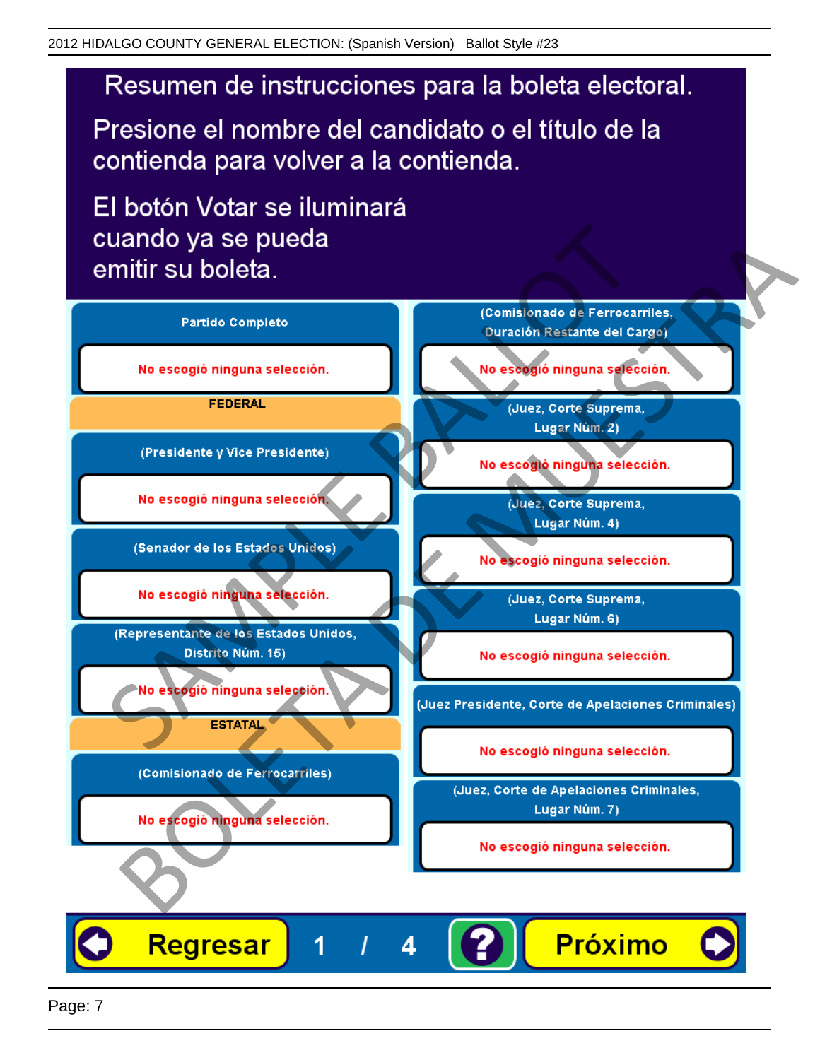Presione el nombre del candidato o el título de la contienda para volver a la contienda.

El botón Votar se iluminará

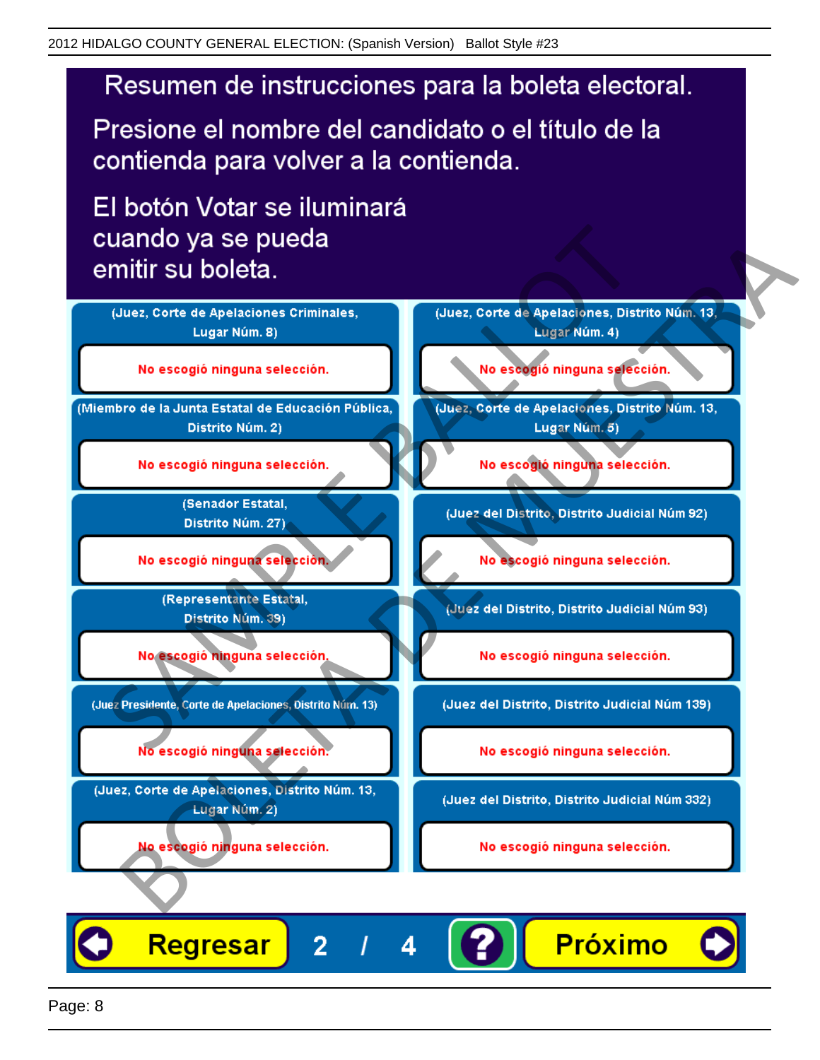Presione el nombre del candidato o el título de la contienda para volver a la contienda.

El botón Votar se iluminará



4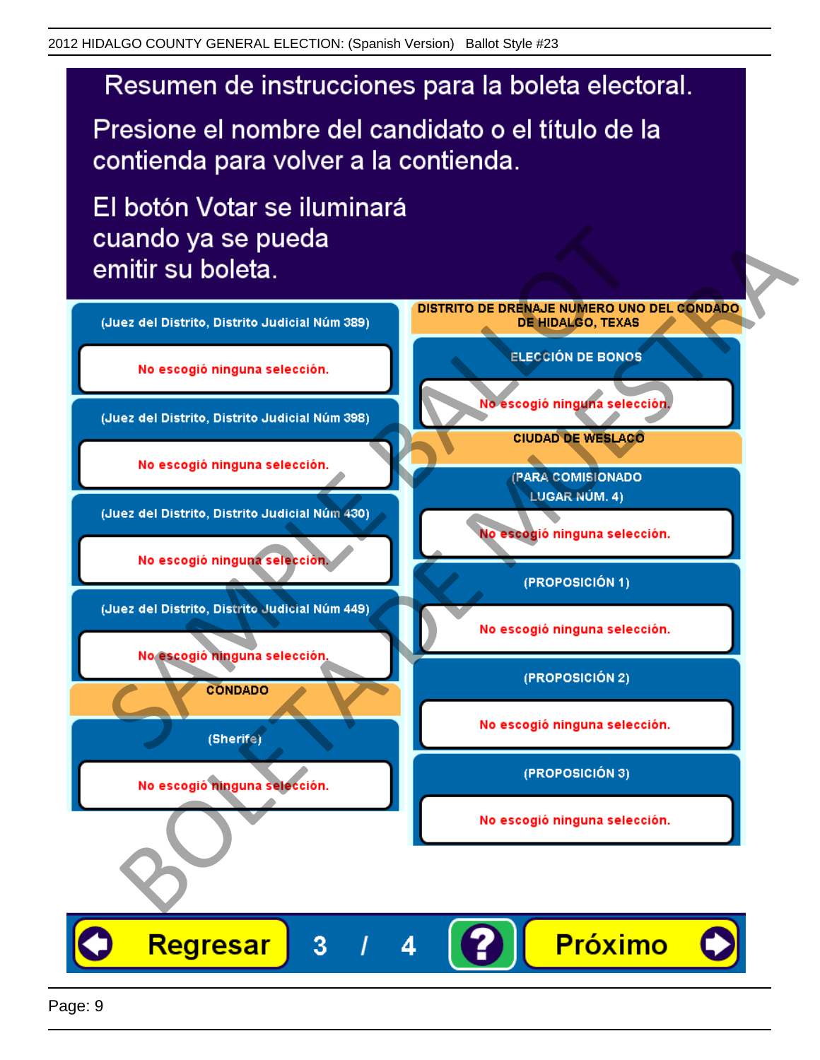Presione el nombre del candidato o el título de la contienda para volver a la contienda.

El botón Votar se iluminará



4